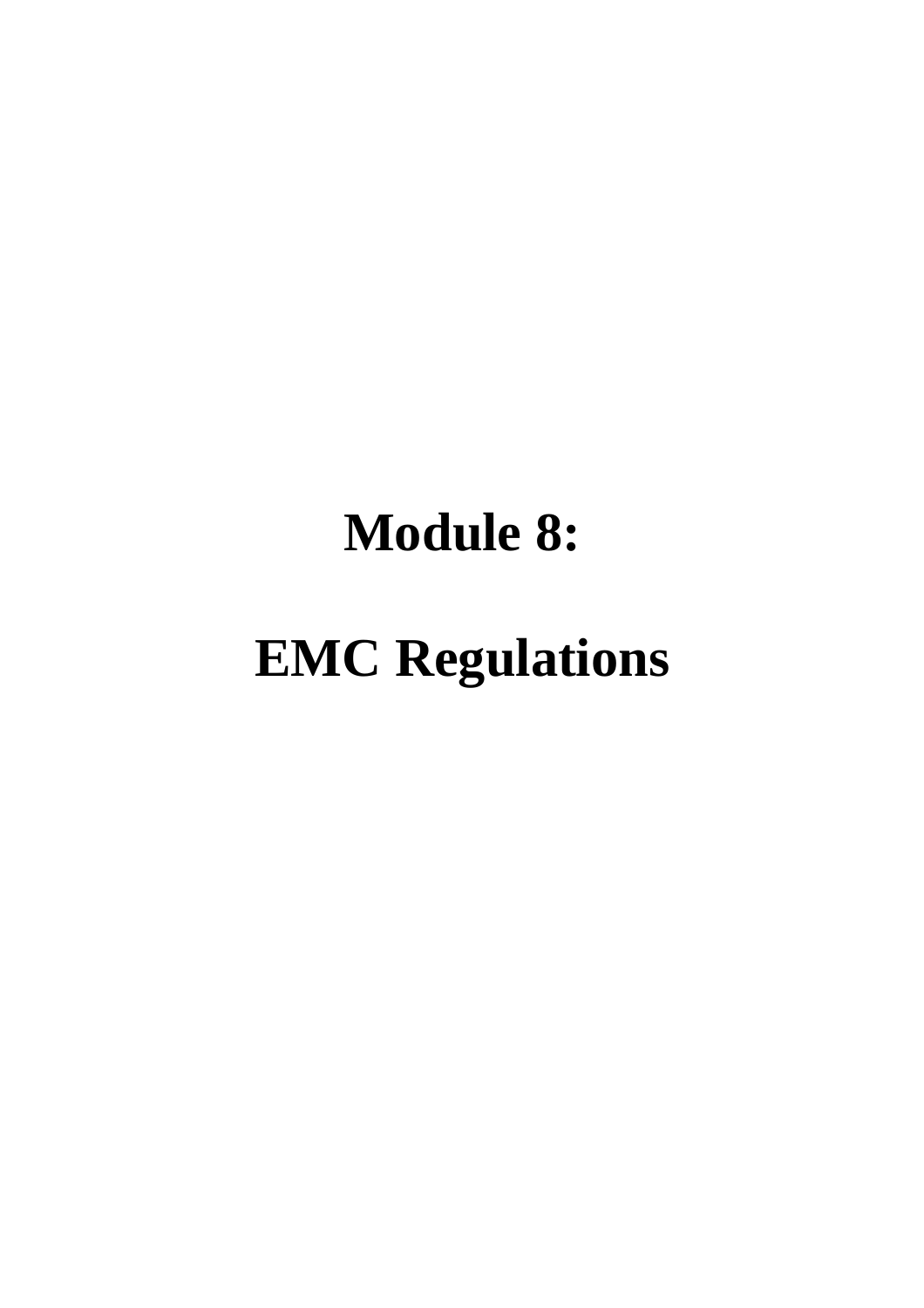# **Module 8:**

# **EMC Regulations**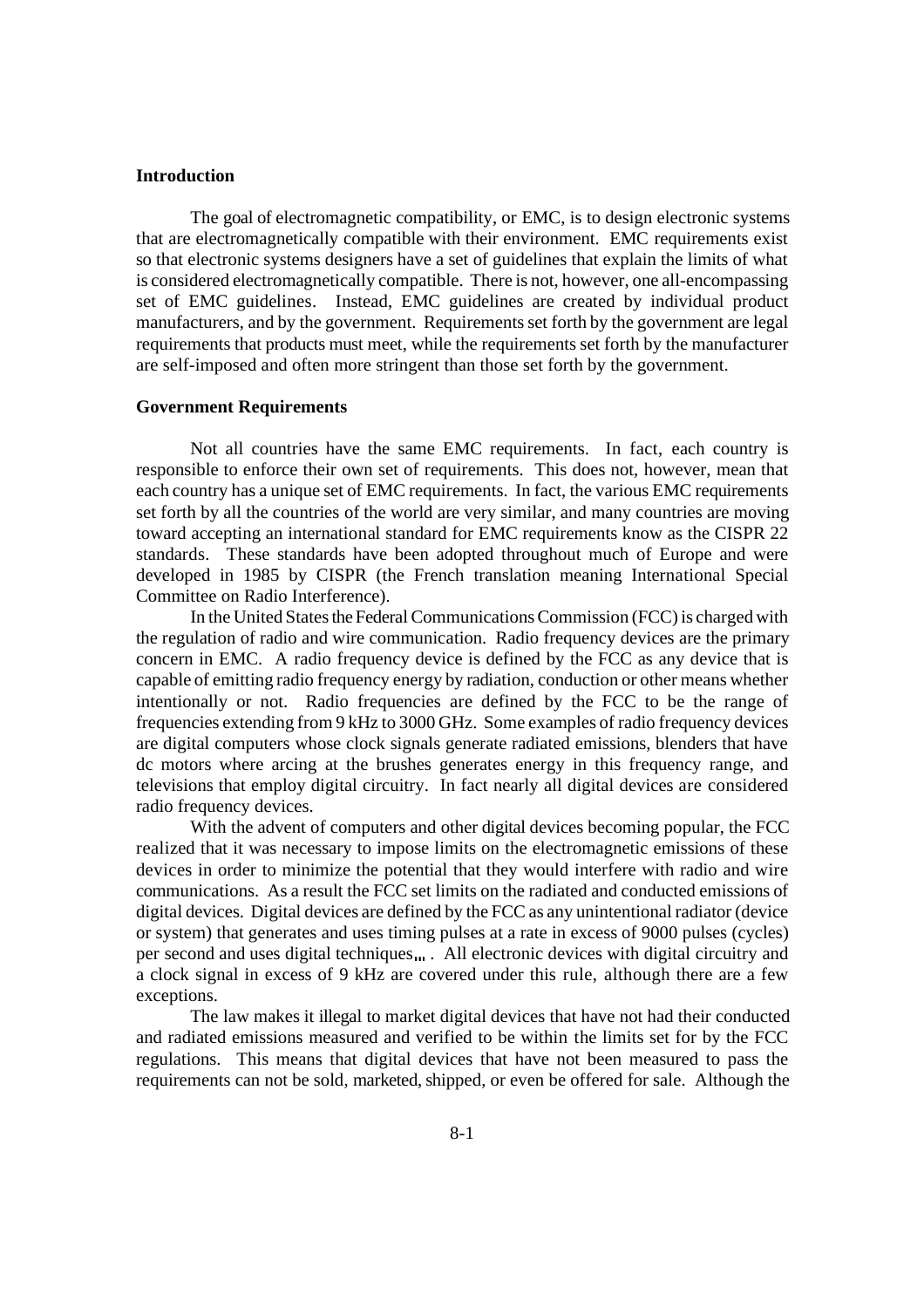# **Introduction**

The goal of electromagnetic compatibility, or EMC, is to design electronic systems that are electromagnetically compatible with their environment. EMC requirements exist so that electronic systems designers have a set of guidelines that explain the limits of what is considered electromagnetically compatible. There is not, however, one all-encompassing set of EMC guidelines. Instead, EMC guidelines are created by individual product manufacturers, and by the government. Requirements set forth by the government are legal requirements that products must meet, while the requirements set forth by the manufacturer are self-imposed and often more stringent than those set forth by the government.

# **Government Requirements**

Not all countries have the same EMC requirements. In fact, each country is responsible to enforce their own set of requirements. This does not, however, mean that each country has a unique set of EMC requirements. In fact, the various EMC requirements set forth by all the countries of the world are very similar, and many countries are moving toward accepting an international standard for EMC requirements know as the CISPR 22 standards. These standards have been adopted throughout much of Europe and were developed in 1985 by CISPR (the French translation meaning International Special Committee on Radio Interference).

In the United States the Federal Communications Commission (FCC) is charged with the regulation of radio and wire communication. Radio frequency devices are the primary concern in EMC. A radio frequency device is defined by the FCC as any device that is capable of emitting radio frequency energy by radiation, conduction or other means whether intentionally or not. Radio frequencies are defined by the FCC to be the range of frequencies extending from 9 kHz to 3000 GHz. Some examples of radio frequency devices are digital computers whose clock signals generate radiated emissions, blenders that have dc motors where arcing at the brushes generates energy in this frequency range, and televisions that employ digital circuitry. In fact nearly all digital devices are considered radio frequency devices.

With the advent of computers and other digital devices becoming popular, the FCC realized that it was necessary to impose limits on the electromagnetic emissions of these devices in order to minimize the potential that they would interfere with radio and wire communications. As a result the FCC set limits on the radiated and conducted emissions of digital devices. Digital devices are defined by the FCC as any unintentional radiator (device or system) that generates and uses timing pulses at a rate in excess of 9000 pulses (cycles) per second and uses digital techniques ... All electronic devices with digital circuitry and a clock signal in excess of 9 kHz are covered under this rule, although there are a few exceptions.

The law makes it illegal to market digital devices that have not had their conducted and radiated emissions measured and verified to be within the limits set for by the FCC regulations. This means that digital devices that have not been measured to pass the requirements can not be sold, marketed, shipped, or even be offered for sale. Although the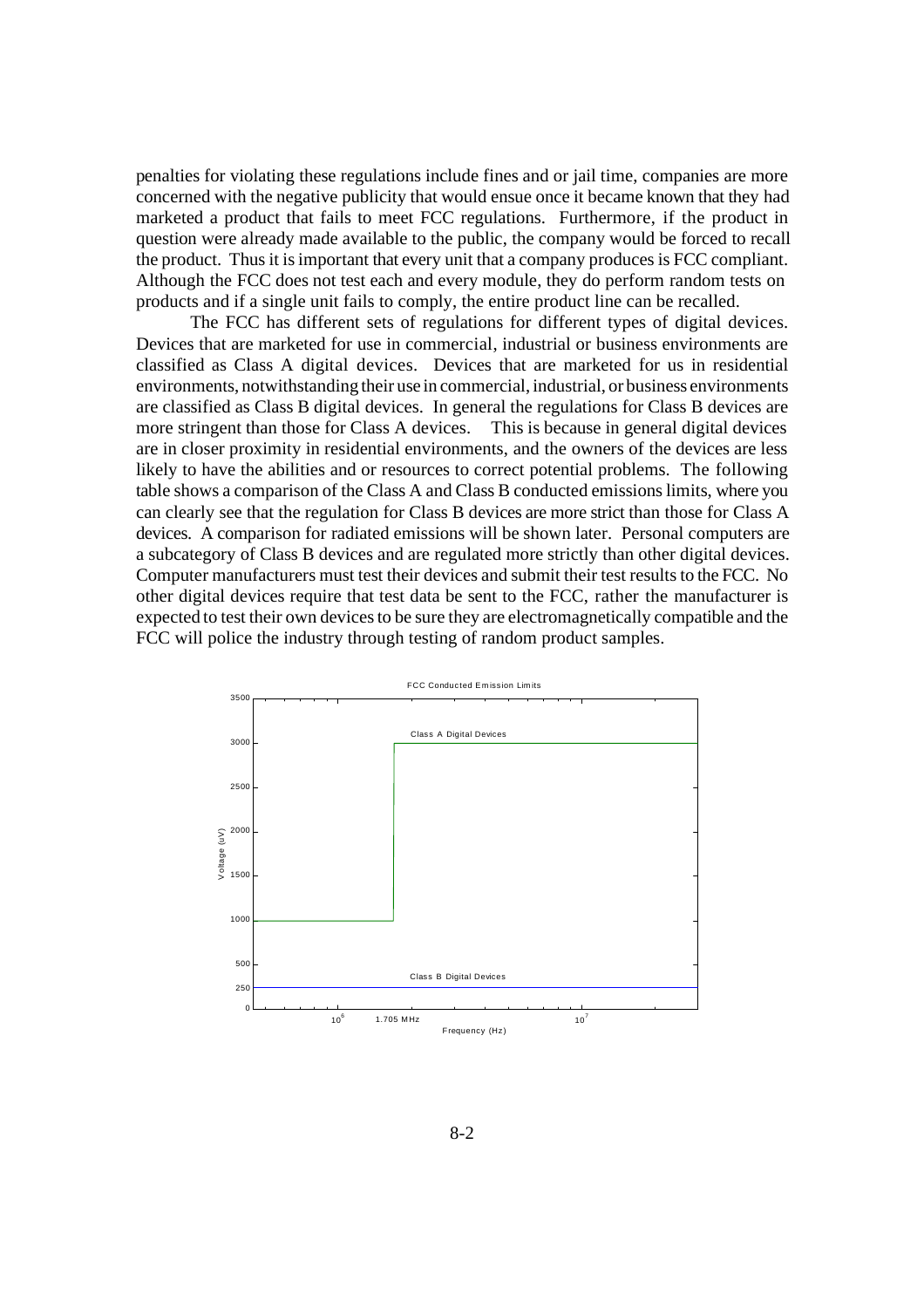penalties for violating these regulations include fines and or jail time, companies are more concerned with the negative publicity that would ensue once it became known that they had marketed a product that fails to meet FCC regulations. Furthermore, if the product in question were already made available to the public, the company would be forced to recall the product. Thus it is important that every unit that a company produces is FCC compliant. Although the FCC does not test each and every module, they do perform random tests on products and if a single unit fails to comply, the entire product line can be recalled.

The FCC has different sets of regulations for different types of digital devices. Devices that are marketed for use in commercial, industrial or business environments are classified as Class A digital devices. Devices that are marketed for us in residential environments, notwithstanding their use in commercial, industrial, or business environments are classified as Class B digital devices. In general the regulations for Class B devices are more stringent than those for Class A devices. This is because in general digital devices are in closer proximity in residential environments, and the owners of the devices are less likely to have the abilities and or resources to correct potential problems. The following table shows a comparison of the Class A and Class B conducted emissions limits, where you can clearly see that the regulation for Class B devices are more strict than those for Class A devices. A comparison for radiated emissions will be shown later. Personal computers are a subcategory of Class B devices and are regulated more strictly than other digital devices. Computer manufacturers must test their devices and submit their test results to the FCC. No other digital devices require that test data be sent to the FCC, rather the manufacturer is expected to test their own devices to be sure they are electromagnetically compatible and the FCC will police the industry through testing of random product samples.

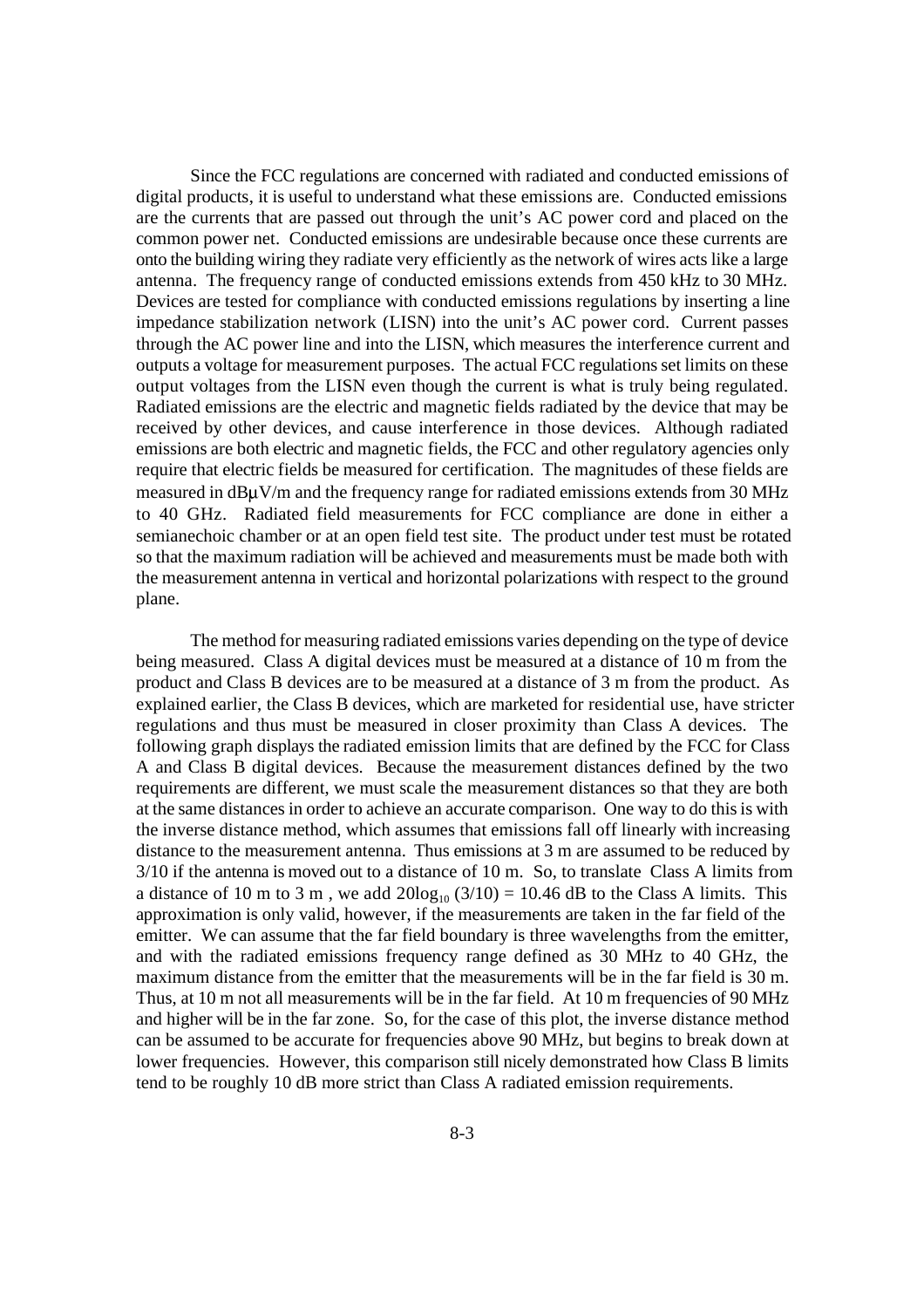Since the FCC regulations are concerned with radiated and conducted emissions of digital products, it is useful to understand what these emissions are. Conducted emissions are the currents that are passed out through the unit's AC power cord and placed on the common power net. Conducted emissions are undesirable because once these currents are onto the building wiring they radiate very efficiently as the network of wires acts like a large antenna. The frequency range of conducted emissions extends from 450 kHz to 30 MHz. Devices are tested for compliance with conducted emissions regulations by inserting a line impedance stabilization network (LISN) into the unit's AC power cord. Current passes through the AC power line and into the LISN, which measures the interference current and outputs a voltage for measurement purposes. The actual FCC regulations set limits on these output voltages from the LISN even though the current is what is truly being regulated. Radiated emissions are the electric and magnetic fields radiated by the device that may be received by other devices, and cause interference in those devices. Although radiated emissions are both electric and magnetic fields, the FCC and other regulatory agencies only require that electric fields be measured for certification. The magnitudes of these fields are measured in  $dB\mu V/m$  and the frequency range for radiated emissions extends from 30 MHz to 40 GHz. Radiated field measurements for FCC compliance are done in either a semianechoic chamber or at an open field test site. The product under test must be rotated so that the maximum radiation will be achieved and measurements must be made both with the measurement antenna in vertical and horizontal polarizations with respect to the ground plane.

The method for measuring radiated emissions varies depending on the type of device being measured. Class A digital devices must be measured at a distance of 10 m from the product and Class B devices are to be measured at a distance of 3 m from the product. As explained earlier, the Class B devices, which are marketed for residential use, have stricter regulations and thus must be measured in closer proximity than Class A devices. The following graph displays the radiated emission limits that are defined by the FCC for Class A and Class B digital devices. Because the measurement distances defined by the two requirements are different, we must scale the measurement distances so that they are both at the same distances in order to achieve an accurate comparison. One way to do this is with the inverse distance method, which assumes that emissions fall off linearly with increasing distance to the measurement antenna. Thus emissions at 3 m are assumed to be reduced by 3/10 if the antenna is moved out to a distance of 10 m. So, to translate Class A limits from a distance of 10 m to 3 m, we add  $20\log_{10}(3/10) = 10.46$  dB to the Class A limits. This approximation is only valid, however, if the measurements are taken in the far field of the emitter. We can assume that the far field boundary is three wavelengths from the emitter, and with the radiated emissions frequency range defined as 30 MHz to 40 GHz, the maximum distance from the emitter that the measurements will be in the far field is 30 m. Thus, at 10 m not all measurements will be in the far field. At 10 m frequencies of 90 MHz and higher will be in the far zone. So, for the case of this plot, the inverse distance method can be assumed to be accurate for frequencies above 90 MHz, but begins to break down at lower frequencies. However, this comparison still nicely demonstrated how Class B limits tend to be roughly 10 dB more strict than Class A radiated emission requirements.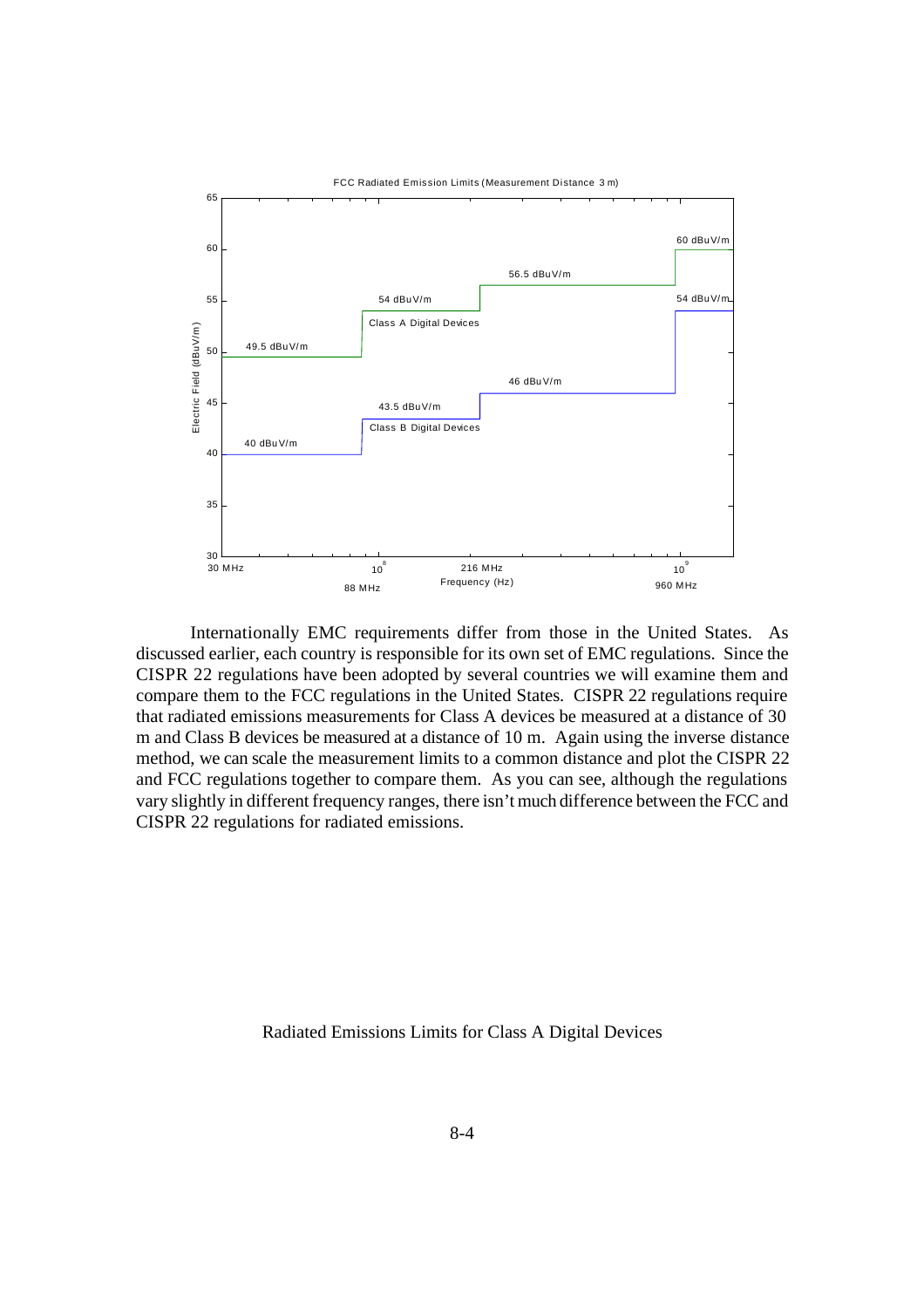

Internationally EMC requirements differ from those in the United States. As discussed earlier, each country is responsible for its own set of EMC regulations. Since the CISPR 22 regulations have been adopted by several countries we will examine them and compare them to the FCC regulations in the United States. CISPR 22 regulations require that radiated emissions measurements for Class A devices be measured at a distance of 30 m and Class B devices be measured at a distance of 10 m. Again using the inverse distance method, we can scale the measurement limits to a common distance and plot the CISPR 22 and FCC regulations together to compare them. As you can see, although the regulations vary slightly in different frequency ranges, there isn't much difference between the FCC and CISPR 22 regulations for radiated emissions.

Radiated Emissions Limits for Class A Digital Devices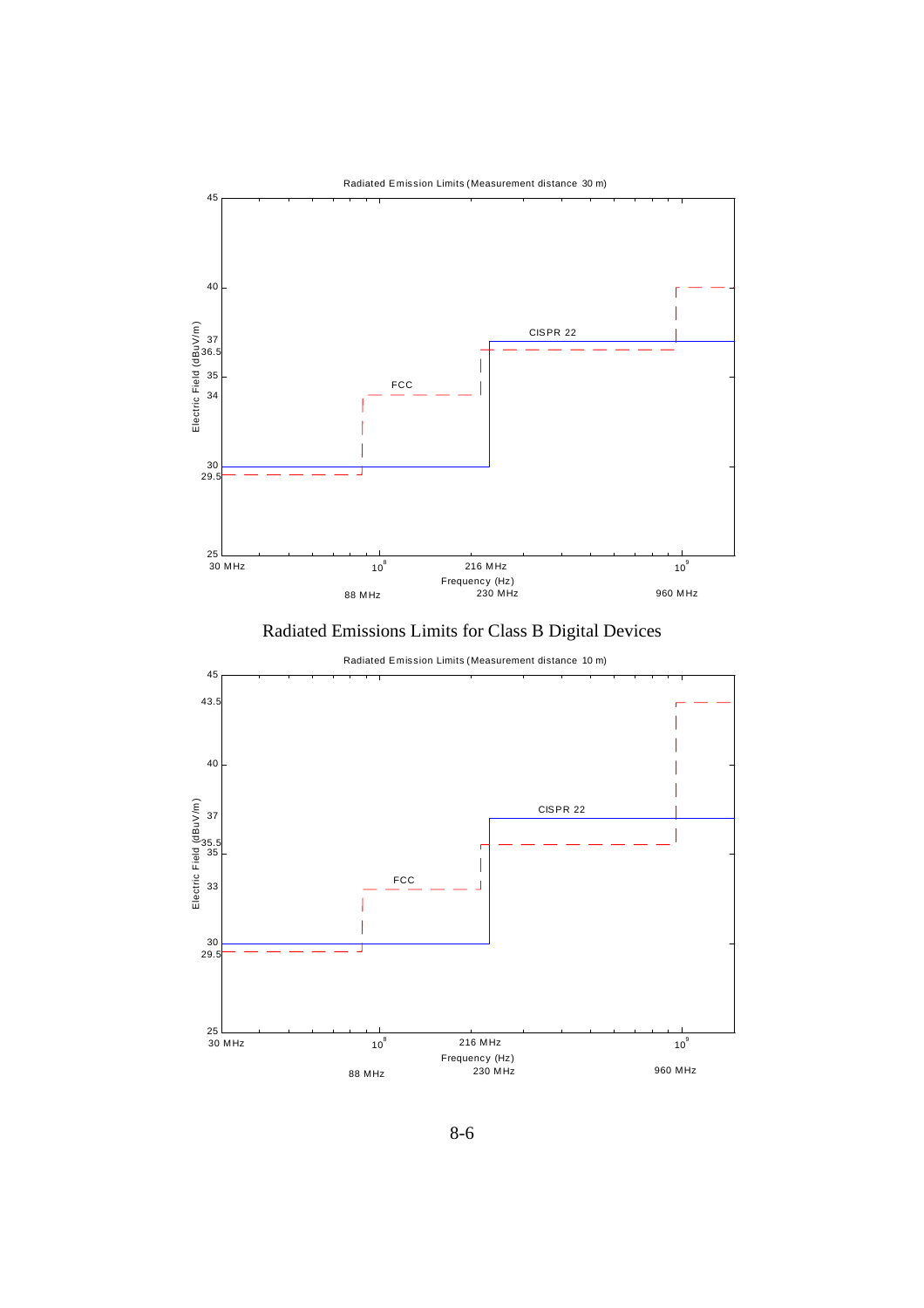



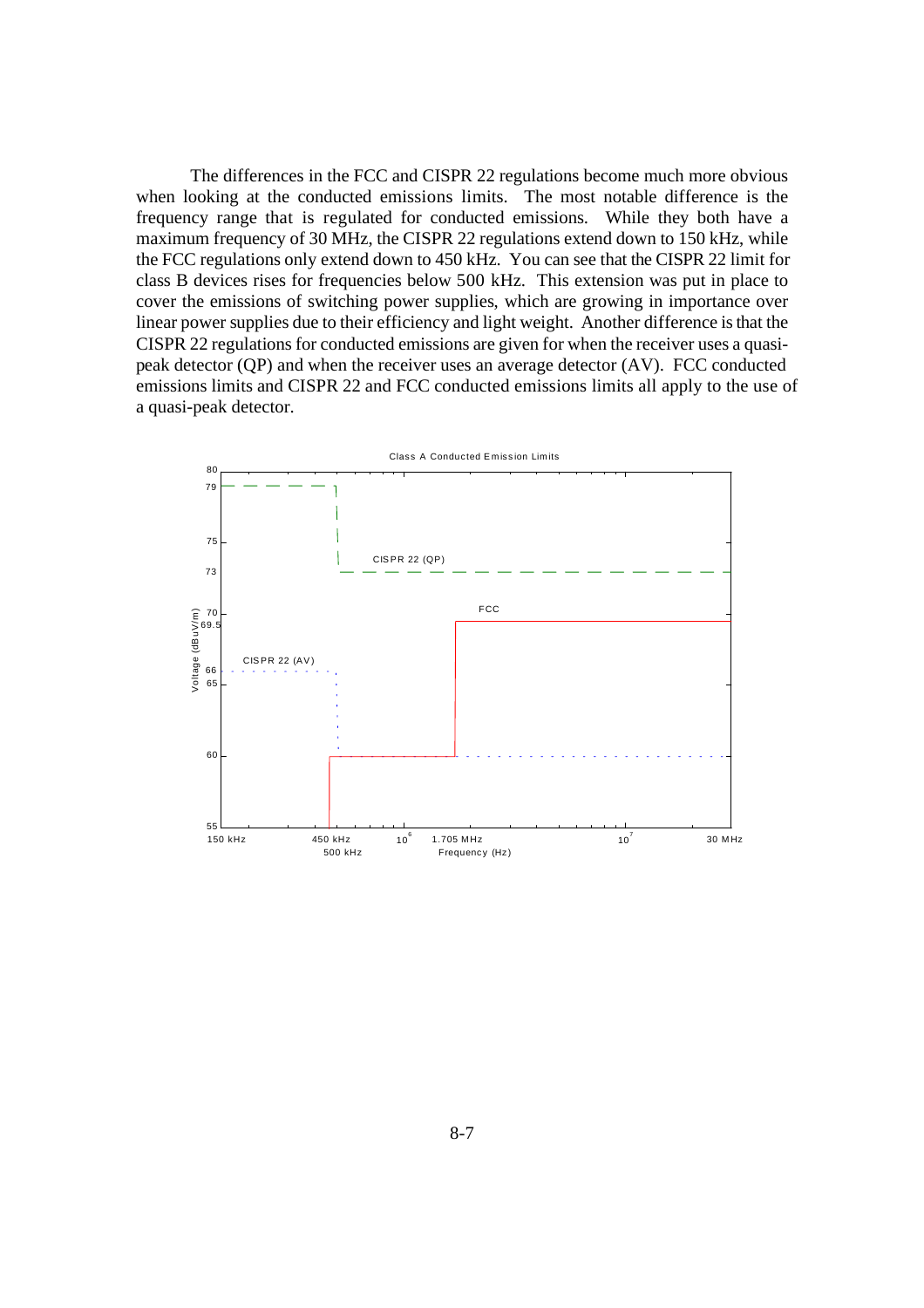The differences in the FCC and CISPR 22 regulations become much more obvious when looking at the conducted emissions limits. The most notable difference is the frequency range that is regulated for conducted emissions. While they both have a maximum frequency of 30 MHz, the CISPR 22 regulations extend down to 150 kHz, while the FCC regulations only extend down to 450 kHz. You can see that the CISPR 22 limit for class B devices rises for frequencies below 500 kHz. This extension was put in place to cover the emissions of switching power supplies, which are growing in importance over linear power supplies due to their efficiency and light weight. Another difference is that the CISPR 22 regulations for conducted emissions are given for when the receiver uses a quasipeak detector (QP) and when the receiver uses an average detector (AV). FCC conducted emissions limits and CISPR 22 and FCC conducted emissions limits all apply to the use of a quasi-peak detector.

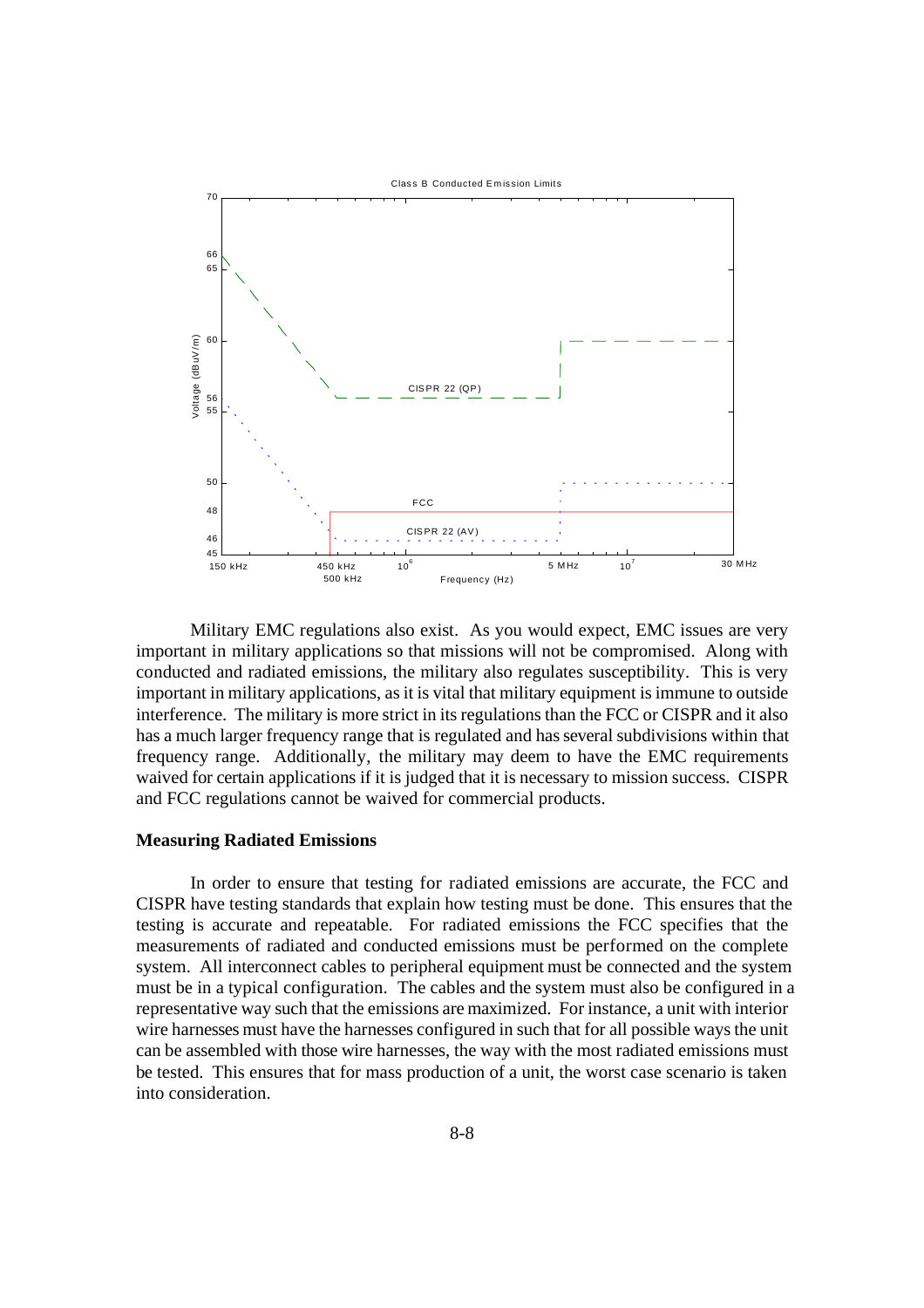

Military EMC regulations also exist. As you would expect, EMC issues are very important in military applications so that missions will not be compromised. Along with conducted and radiated emissions, the military also regulates susceptibility. This is very important in military applications, as it is vital that military equipment is immune to outside interference. The military is more strict in its regulations than the FCC or CISPR and it also has a much larger frequency range that is regulated and has several subdivisions within that frequency range. Additionally, the military may deem to have the EMC requirements waived for certain applications if it is judged that it is necessary to mission success. CISPR and FCC regulations cannot be waived for commercial products.

#### **Measuring Radiated Emissions**

In order to ensure that testing for radiated emissions are accurate, the FCC and CISPR have testing standards that explain how testing must be done. This ensures that the testing is accurate and repeatable. For radiated emissions the FCC specifies that the measurements of radiated and conducted emissions must be performed on the complete system. All interconnect cables to peripheral equipment must be connected and the system must be in a typical configuration. The cables and the system must also be configured in a representative way such that the emissions are maximized. For instance, a unit with interior wire harnesses must have the harnesses configured in such that for all possible ways the unit can be assembled with those wire harnesses, the way with the most radiated emissions must be tested. This ensures that for mass production of a unit, the worst case scenario is taken into consideration.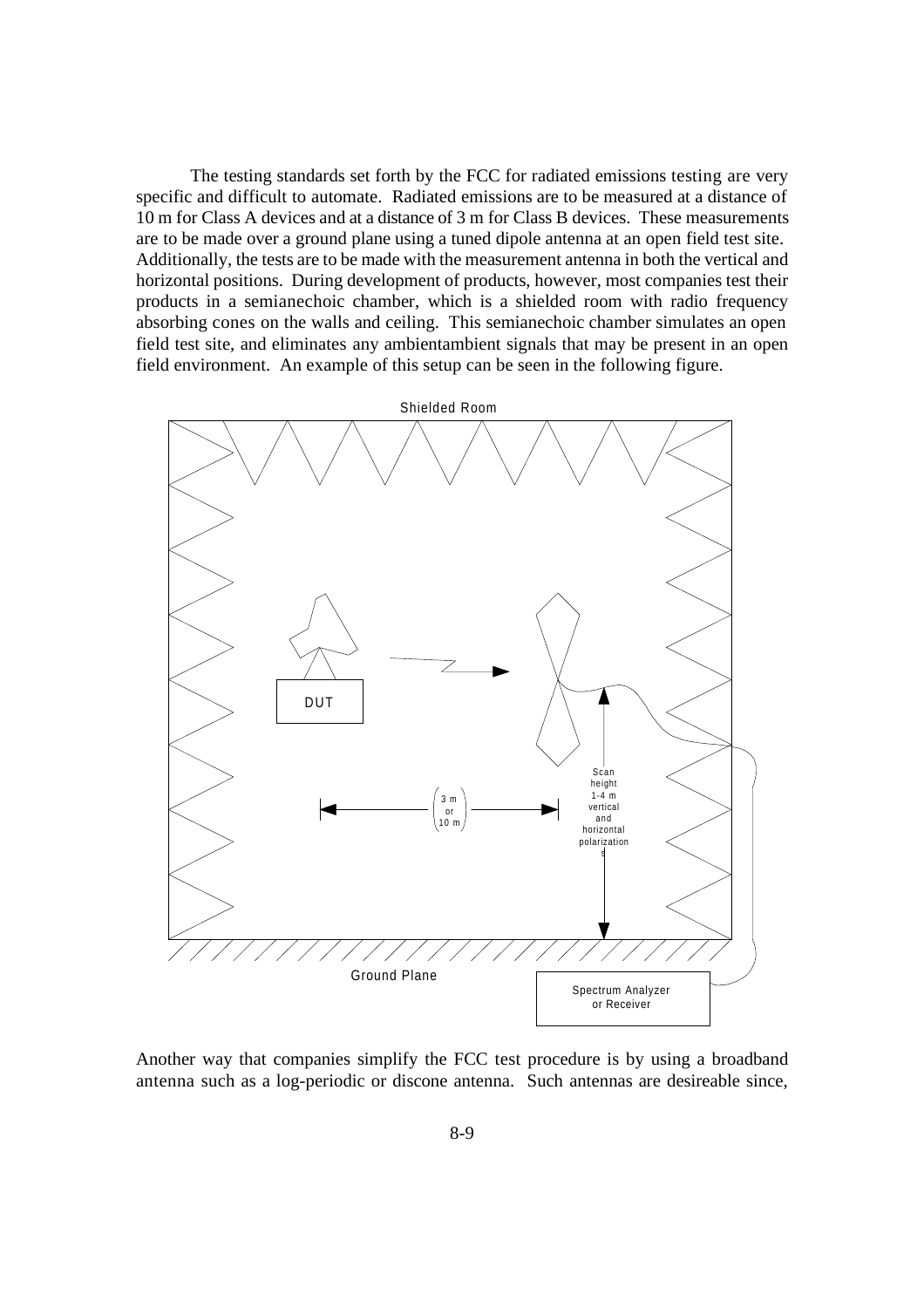The testing standards set forth by the FCC for radiated emissions testing are very specific and difficult to automate. Radiated emissions are to be measured at a distance of 10 m for Class A devices and at a distance of 3 m for Class B devices. These measurements are to be made over a ground plane using a tuned dipole antenna at an open field test site. Additionally, the tests are to be made with the measurement antenna in both the vertical and horizontal positions. During development of products, however, most companies test their products in a semianechoic chamber, which is a shielded room with radio frequency absorbing cones on the walls and ceiling. This semianechoic chamber simulates an open field test site, and eliminates any ambientambient signals that may be present in an open field environment. An example of this setup can be seen in the following figure.



Another way that companies simplify the FCC test procedure is by using a broadband antenna such as a log-periodic or discone antenna. Such antennas are desireable since,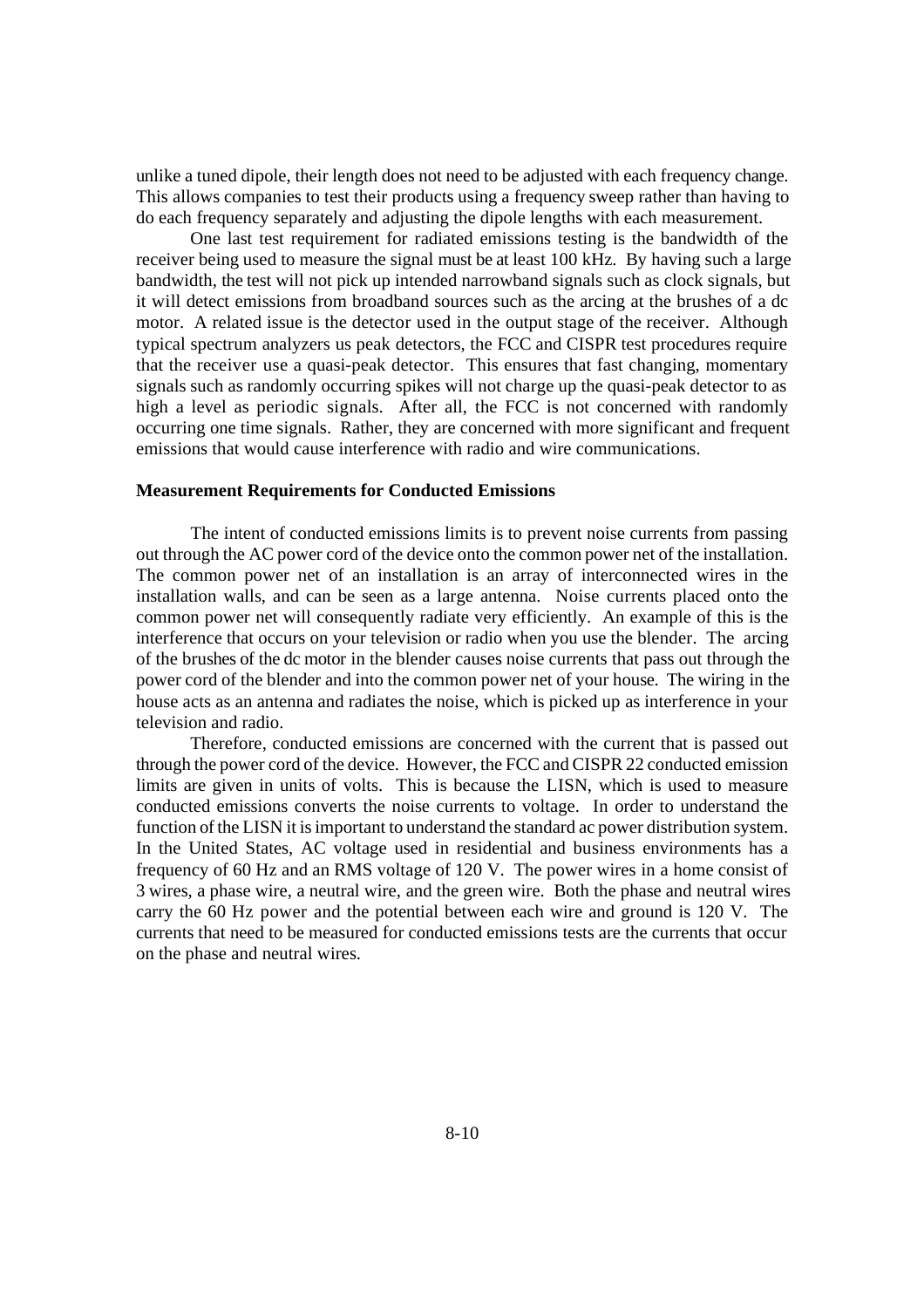unlike a tuned dipole, their length does not need to be adjusted with each frequency change. This allows companies to test their products using a frequency sweep rather than having to do each frequency separately and adjusting the dipole lengths with each measurement.

One last test requirement for radiated emissions testing is the bandwidth of the receiver being used to measure the signal must be at least 100 kHz. By having such a large bandwidth, the test will not pick up intended narrowband signals such as clock signals, but it will detect emissions from broadband sources such as the arcing at the brushes of a dc motor. A related issue is the detector used in the output stage of the receiver. Although typical spectrum analyzers us peak detectors, the FCC and CISPR test procedures require that the receiver use a quasi-peak detector. This ensures that fast changing, momentary signals such as randomly occurring spikes will not charge up the quasi-peak detector to as high a level as periodic signals. After all, the FCC is not concerned with randomly occurring one time signals. Rather, they are concerned with more significant and frequent emissions that would cause interference with radio and wire communications.

### **Measurement Requirements for Conducted Emissions**

The intent of conducted emissions limits is to prevent noise currents from passing out through the AC power cord of the device onto the common power net of the installation. The common power net of an installation is an array of interconnected wires in the installation walls, and can be seen as a large antenna. Noise currents placed onto the common power net will consequently radiate very efficiently. An example of this is the interference that occurs on your television or radio when you use the blender. The arcing of the brushes of the dc motor in the blender causes noise currents that pass out through the power cord of the blender and into the common power net of your house. The wiring in the house acts as an antenna and radiates the noise, which is picked up as interference in your television and radio.

Therefore, conducted emissions are concerned with the current that is passed out through the power cord of the device. However, the FCC and CISPR 22 conducted emission limits are given in units of volts. This is because the LISN, which is used to measure conducted emissions converts the noise currents to voltage. In order to understand the function of the LISN it is important to understand the standard ac power distribution system. In the United States, AC voltage used in residential and business environments has a frequency of 60 Hz and an RMS voltage of 120 V. The power wires in a home consist of 3 wires, a phase wire, a neutral wire, and the green wire. Both the phase and neutral wires carry the 60 Hz power and the potential between each wire and ground is 120 V. The currents that need to be measured for conducted emissions tests are the currents that occur on the phase and neutral wires.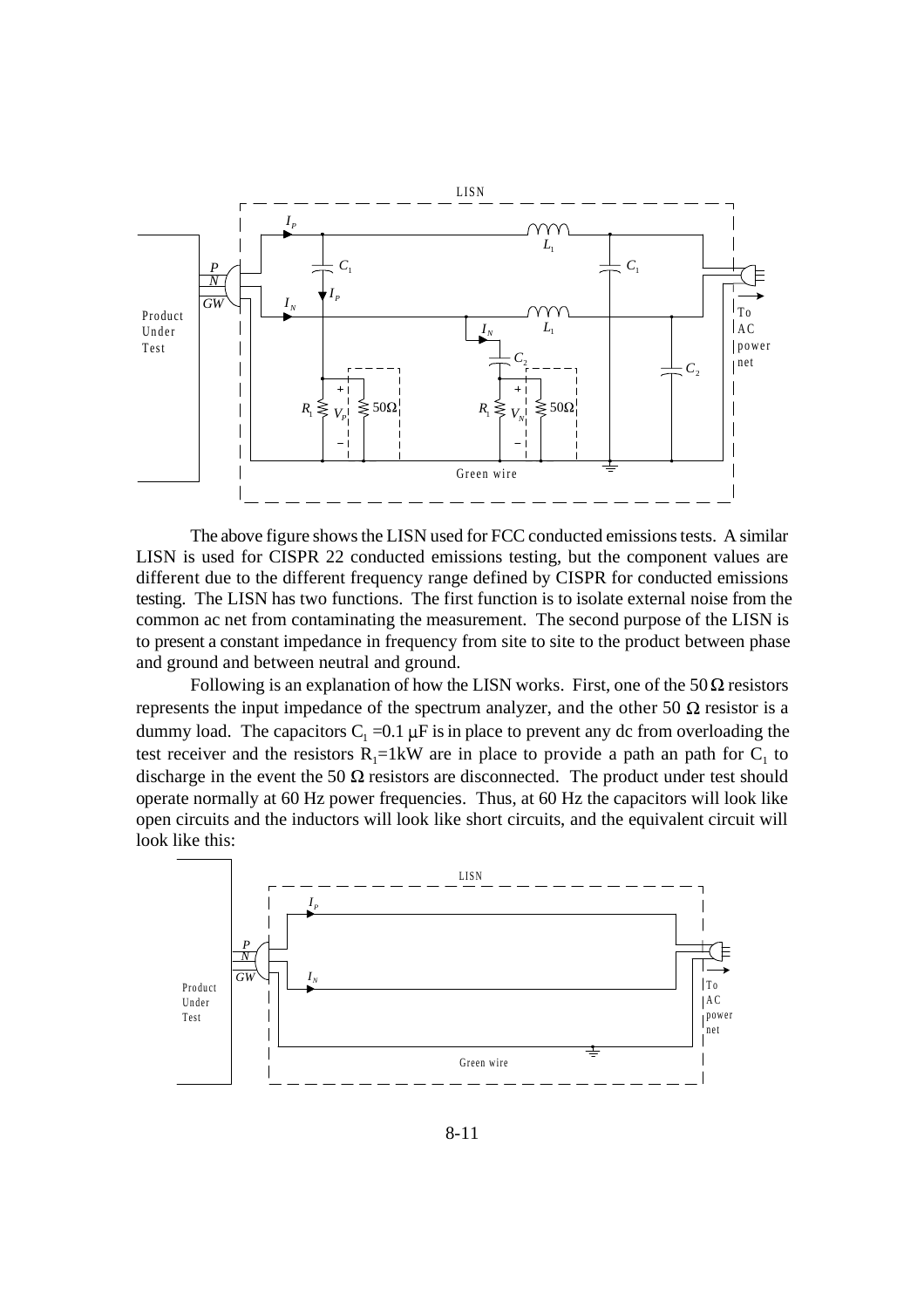

The above figure shows the LISN used for FCC conducted emissions tests. A similar LISN is used for CISPR 22 conducted emissions testing, but the component values are different due to the different frequency range defined by CISPR for conducted emissions testing. The LISN has two functions. The first function is to isolate external noise from the common ac net from contaminating the measurement. The second purpose of the LISN is to present a constant impedance in frequency from site to site to the product between phase and ground and between neutral and ground.

Following is an explanation of how the LISN works. First, one of the  $50\Omega$  resistors represents the input impedance of the spectrum analyzer, and the other 50  $\Omega$  resistor is a dummy load. The capacitors  $C_1 = 0.1 \mu$ F is in place to prevent any dc from overloading the test receiver and the resistors  $R_1 = 1$  kW are in place to provide a path an path for  $C_1$  to discharge in the event the 50  $\Omega$  resistors are disconnected. The product under test should operate normally at 60 Hz power frequencies. Thus, at 60 Hz the capacitors will look like open circuits and the inductors will look like short circuits, and the equivalent circuit will look like this:

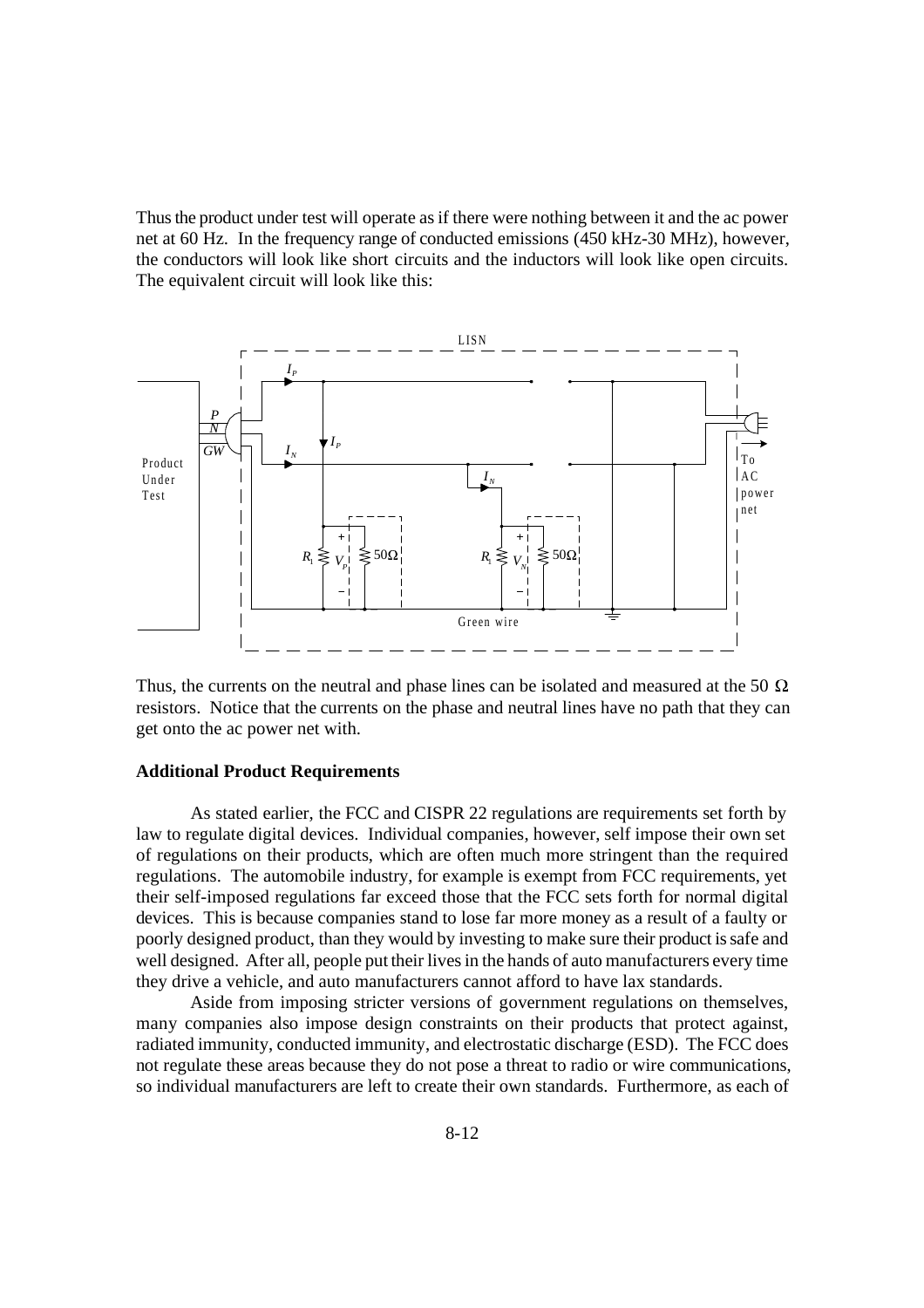Thus the product under test will operate as if there were nothing between it and the ac power net at 60 Hz. In the frequency range of conducted emissions (450 kHz-30 MHz), however, the conductors will look like short circuits and the inductors will look like open circuits. The equivalent circuit will look like this:



Thus, the currents on the neutral and phase lines can be isolated and measured at the 50  $\Omega$ resistors. Notice that the currents on the phase and neutral lines have no path that they can get onto the ac power net with.

#### **Additional Product Requirements**

As stated earlier, the FCC and CISPR 22 regulations are requirements set forth by law to regulate digital devices. Individual companies, however, self impose their own set of regulations on their products, which are often much more stringent than the required regulations. The automobile industry, for example is exempt from FCC requirements, yet their self-imposed regulations far exceed those that the FCC sets forth for normal digital devices. This is because companies stand to lose far more money as a result of a faulty or poorly designed product, than they would by investing to make sure their product is safe and well designed. After all, people put their lives in the hands of auto manufacturers every time they drive a vehicle, and auto manufacturers cannot afford to have lax standards.

Aside from imposing stricter versions of government regulations on themselves, many companies also impose design constraints on their products that protect against, radiated immunity, conducted immunity, and electrostatic discharge (ESD). The FCC does not regulate these areas because they do not pose a threat to radio or wire communications, so individual manufacturers are left to create their own standards. Furthermore, as each of